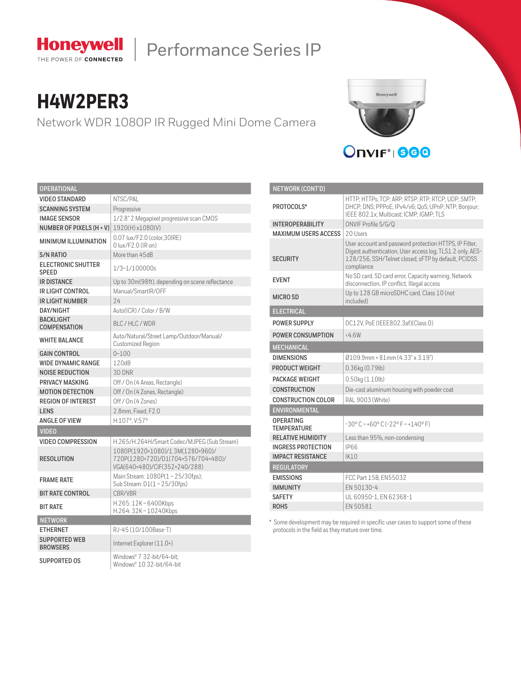

# Performance Series IP

# **H4W2PER3**

Network WDR 1080P IR Rugged Mini Dome Camera



| <b>OPERATIONAL</b>                        |                                                                                                          |  |  |  |
|-------------------------------------------|----------------------------------------------------------------------------------------------------------|--|--|--|
| VIDEO STANDARD                            | NTSC/PAL                                                                                                 |  |  |  |
| <b>SCANNING SYSTEM</b>                    | Progressive                                                                                              |  |  |  |
| <b>IMAGE SENSOR</b>                       | 1/2.8" 2 Megapixel progressive scan CMOS                                                                 |  |  |  |
| NUMBER OF PIXELS (H × V)                  | 1920(H) x1080(V)                                                                                         |  |  |  |
|                                           | 0.07 lux/F2.0 (color.30IRE)                                                                              |  |  |  |
| <b>MINIMUM ILLUMINATION</b>               | 0 lux/F2.0 (IR on)                                                                                       |  |  |  |
| <b>S/N RATIO</b>                          | More than 45dB                                                                                           |  |  |  |
| <b>ELECTRONIC SHUTTER</b><br><b>SPEED</b> | 1/3~1/100000s                                                                                            |  |  |  |
| <b>IR DISTANCE</b>                        | Up to 30m(98ft), depending on scene reflectance                                                          |  |  |  |
| IR LIGHT CONTROL                          | Manual/SmartIR/OFF                                                                                       |  |  |  |
| <b>IR LIGHT NUMBER</b>                    | 74                                                                                                       |  |  |  |
| DAY/NIGHT                                 | Auto(ICR) / Color / B/W                                                                                  |  |  |  |
| <b>BACKLIGHT</b><br><b>COMPENSATION</b>   | BLC/HLC/WDR                                                                                              |  |  |  |
| <b>WHITE BALANCE</b>                      | Auto/Natural/Street Lamp/Outdoor/Manual/<br>Customized Region                                            |  |  |  |
| <b>GAIN CONTROL</b>                       | $0 - 100$                                                                                                |  |  |  |
| <b>WIDE DYNAMIC RANGE</b>                 | 120dB                                                                                                    |  |  |  |
| <b>NOISE REDUCTION</b>                    | 3D DNR                                                                                                   |  |  |  |
| PRIVACY MASKING                           | Off / On (4 Areas, Rectangle)                                                                            |  |  |  |
| <b>MOTION DETECTION</b>                   | Off / On (4 Zones, Rectangle)                                                                            |  |  |  |
| <b>REGION OF INTEREST</b>                 | Off / On (4 Zones)                                                                                       |  |  |  |
| <b>LENS</b>                               | 2.8mm, Fixed, F2.0                                                                                       |  |  |  |
| <b>ANGLE OF VIEW</b>                      | H:107°. V:57°                                                                                            |  |  |  |
| <b>VIDEO</b>                              |                                                                                                          |  |  |  |
| <b>VIDEO COMPRESSION</b>                  | H.265/H.264H/Smart Codec/MJPEG (Sub Stream)                                                              |  |  |  |
| <b>RESOLUTION</b>                         | 1080P(1920×1080)/1.3M(1280×960)/<br>720P(1280×720)/D1(704×576/704×480)/<br>VGA(640×480)/CIF(352×240/288) |  |  |  |
| <b>FRAMF RATF</b>                         | Main Stream: 1080P(1~25/30fps);<br>Sub Stream: D1(1~25/30fps)                                            |  |  |  |
| <b>BIT RATE CONTROL</b>                   | CBR/VBR                                                                                                  |  |  |  |
| <b>BIT RATE</b>                           | H.265: 12K~6400Kbps<br>H.264: 32K ~ 10240Kbps                                                            |  |  |  |
| <b>NETWORK</b>                            |                                                                                                          |  |  |  |
| <b>ETHERNET</b>                           | RJ-45 (10/100Base-T)                                                                                     |  |  |  |
| <b>SUPPORTED WEB</b><br><b>BROWSERS</b>   | Internet Explorer (11.0+)                                                                                |  |  |  |
| SUPPORTED OS                              | Windows® 7 32-bit/64-bit:<br>Windows® 10 32-bit/64-bit                                                   |  |  |  |

| NETWORK (CONT'D)                       |                                                                                                                                                                                          |  |  |  |  |
|----------------------------------------|------------------------------------------------------------------------------------------------------------------------------------------------------------------------------------------|--|--|--|--|
| PROTOCOLS*                             | HTTP: HTTPs: TCP: ARP: RTSP: RTP: RTCP: UDP: SMTP:<br>DHCP; DNS; PPPoE; IPv4/v6; QoS; UPnP; NTP; Bonjour;<br>IEEE 802.1x; Multicast; ICMP; IGMP; TLS                                     |  |  |  |  |
| <b>INTEROPERABILITY</b>                | ONVIF Profile S/G/Q                                                                                                                                                                      |  |  |  |  |
| <b>MAXIMUM USERS ACCESS</b>            | 20 Users                                                                                                                                                                                 |  |  |  |  |
| <b>SECURITY</b>                        | User account and password protection HTTPS, IP Filter,<br>Digest authentication, User access log, TLS1.2 only, AES-<br>128/256, SSH/Telnet closed, sFTP by default, PCIDSS<br>compliance |  |  |  |  |
| <b>FVFNT</b>                           | No SD card, SD card error, Capacity warning, Network<br>disconnection, IP conflict, Illegal access                                                                                       |  |  |  |  |
| MICRO SD                               | Up to 128 GB microSDHC card, Class 10 (not<br>included)                                                                                                                                  |  |  |  |  |
| <b>ELECTRICAL</b>                      |                                                                                                                                                                                          |  |  |  |  |
| <b>POWER SUPPLY</b>                    | DC12V. PoE (IEEE802.3af)(Class 0)                                                                                                                                                        |  |  |  |  |
| <b>POWER CONSUMPTION</b>               | $<4$ 6W                                                                                                                                                                                  |  |  |  |  |
| <b>MECHANICAL</b>                      |                                                                                                                                                                                          |  |  |  |  |
| <b>DIMENSIONS</b>                      | $(4.33" \times 3.19")$                                                                                                                                                                   |  |  |  |  |
| PRODUCT WEIGHT                         | $0.36$ kg $(0.79$ lb)                                                                                                                                                                    |  |  |  |  |
| PACKAGE WEIGHT                         | 0.50kg (1.10lb)                                                                                                                                                                          |  |  |  |  |
| <b>CONSTRUCTION</b>                    | Die-cast aluminum housing with powder coat                                                                                                                                               |  |  |  |  |
| <b>CONSTRUCTION COLOR</b>              | RAL 9003 (White)                                                                                                                                                                         |  |  |  |  |
| <b>ENVIRONMENTAL</b>                   |                                                                                                                                                                                          |  |  |  |  |
| <b>OPERATING</b><br><b>TFMPFRATURF</b> | $-30^{\circ}$ C ~ +60° C (-22° F ~ +140° F)                                                                                                                                              |  |  |  |  |
| <b>RELATIVE HUMIDITY</b>               | Less than 95%, non-condensing                                                                                                                                                            |  |  |  |  |
| <b>INGRESS PROTECTION</b>              | IP66                                                                                                                                                                                     |  |  |  |  |
| <b>IMPACT RESISTANCE</b>               | IK10                                                                                                                                                                                     |  |  |  |  |
| <b>REGULATORY</b>                      |                                                                                                                                                                                          |  |  |  |  |
| <b>EMISSIONS</b>                       | FCC Part 15B. EN55032                                                                                                                                                                    |  |  |  |  |
| <b>IMMUNITY</b>                        | FN 50130-4                                                                                                                                                                               |  |  |  |  |
| <b>SAFETY</b>                          | UL 60950-1, EN 62368-1                                                                                                                                                                   |  |  |  |  |
| <b>ROHS</b>                            | FN 50581                                                                                                                                                                                 |  |  |  |  |

\* Some development may be required in specific user cases to support some of these protocols in the field as they mature over time.